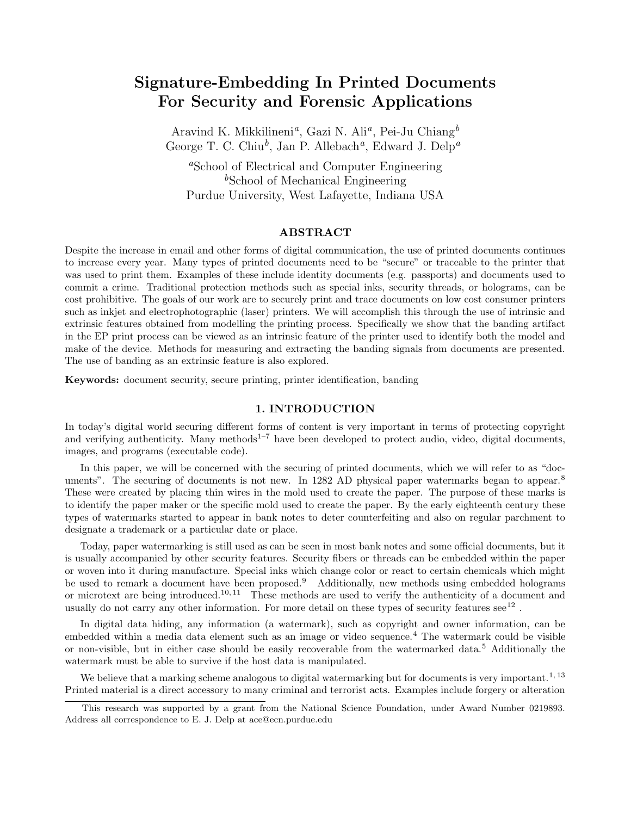# Signature-Embedding In Printed Documents For Security and Forensic Applications

Aravind K. Mikkilineni<sup>a</sup>, Gazi N. Ali<sup>a</sup>, Pei-Ju Chiang<sup>b</sup> George T. C. Chiu<sup>b</sup>, Jan P. Allebach<sup>a</sup>, Edward J. Delp<sup>a</sup>

<sup>a</sup>School of Electrical and Computer Engineering <sup>b</sup>School of Mechanical Engineering Purdue University, West Lafayette, Indiana USA

## ABSTRACT

Despite the increase in email and other forms of digital communication, the use of printed documents continues to increase every year. Many types of printed documents need to be "secure" or traceable to the printer that was used to print them. Examples of these include identity documents (e.g. passports) and documents used to commit a crime. Traditional protection methods such as special inks, security threads, or holograms, can be cost prohibitive. The goals of our work are to securely print and trace documents on low cost consumer printers such as inkjet and electrophotographic (laser) printers. We will accomplish this through the use of intrinsic and extrinsic features obtained from modelling the printing process. Specifically we show that the banding artifact in the EP print process can be viewed as an intrinsic feature of the printer used to identify both the model and make of the device. Methods for measuring and extracting the banding signals from documents are presented. The use of banding as an extrinsic feature is also explored.

Keywords: document security, secure printing, printer identification, banding

## 1. INTRODUCTION

In today's digital world securing different forms of content is very important in terms of protecting copyright and verifying authenticity. Many methods<sup>1-7</sup> have been developed to protect audio, video, digital documents, images, and programs (executable code).

In this paper, we will be concerned with the securing of printed documents, which we will refer to as "documents". The securing of documents is not new. In 1282 AD physical paper watermarks began to appear.<sup>8</sup> These were created by placing thin wires in the mold used to create the paper. The purpose of these marks is to identify the paper maker or the specific mold used to create the paper. By the early eighteenth century these types of watermarks started to appear in bank notes to deter counterfeiting and also on regular parchment to designate a trademark or a particular date or place.

Today, paper watermarking is still used as can be seen in most bank notes and some official documents, but it is usually accompanied by other security features. Security fibers or threads can be embedded within the paper or woven into it during manufacture. Special inks which change color or react to certain chemicals which might be used to remark a document have been proposed.<sup>9</sup> Additionally, new methods using embedded holograms or microtext are being introduced.10, <sup>11</sup> These methods are used to verify the authenticity of a document and usually do not carry any other information. For more detail on these types of security features  $\sec^{12}$ .

In digital data hiding, any information (a watermark), such as copyright and owner information, can be embedded within a media data element such as an image or video sequence.<sup>4</sup> The watermark could be visible or non-visible, but in either case should be easily recoverable from the watermarked data.<sup>5</sup> Additionally the watermark must be able to survive if the host data is manipulated.

We believe that a marking scheme analogous to digital watermarking but for documents is very important.<sup>1, 13</sup> Printed material is a direct accessory to many criminal and terrorist acts. Examples include forgery or alteration

This research was supported by a grant from the National Science Foundation, under Award Number 0219893. Address all correspondence to E. J. Delp at ace@ecn.purdue.edu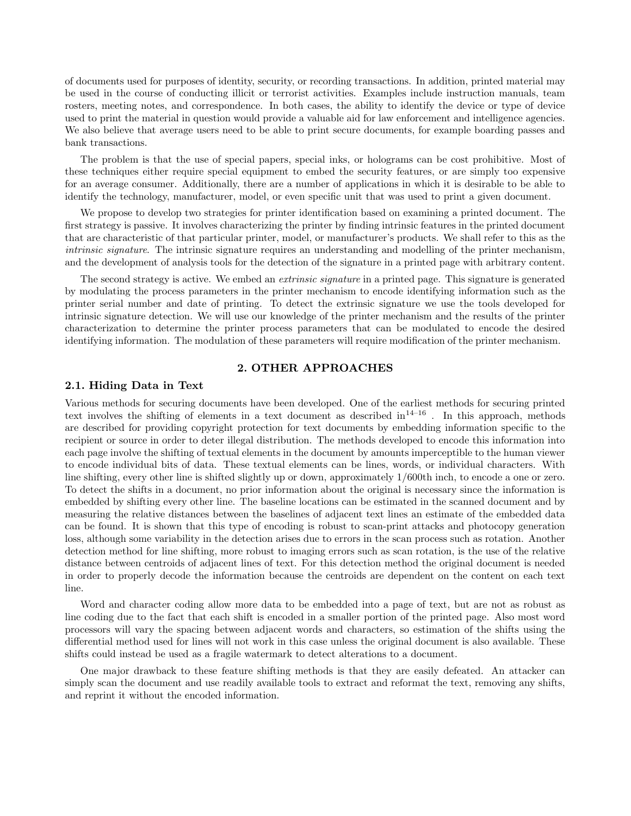of documents used for purposes of identity, security, or recording transactions. In addition, printed material may be used in the course of conducting illicit or terrorist activities. Examples include instruction manuals, team rosters, meeting notes, and correspondence. In both cases, the ability to identify the device or type of device used to print the material in question would provide a valuable aid for law enforcement and intelligence agencies. We also believe that average users need to be able to print secure documents, for example boarding passes and bank transactions.

The problem is that the use of special papers, special inks, or holograms can be cost prohibitive. Most of these techniques either require special equipment to embed the security features, or are simply too expensive for an average consumer. Additionally, there are a number of applications in which it is desirable to be able to identify the technology, manufacturer, model, or even specific unit that was used to print a given document.

We propose to develop two strategies for printer identification based on examining a printed document. The first strategy is passive. It involves characterizing the printer by finding intrinsic features in the printed document that are characteristic of that particular printer, model, or manufacturer's products. We shall refer to this as the intrinsic signature. The intrinsic signature requires an understanding and modelling of the printer mechanism, and the development of analysis tools for the detection of the signature in a printed page with arbitrary content.

The second strategy is active. We embed an *extrinsic signature* in a printed page. This signature is generated by modulating the process parameters in the printer mechanism to encode identifying information such as the printer serial number and date of printing. To detect the extrinsic signature we use the tools developed for intrinsic signature detection. We will use our knowledge of the printer mechanism and the results of the printer characterization to determine the printer process parameters that can be modulated to encode the desired identifying information. The modulation of these parameters will require modification of the printer mechanism.

## 2. OTHER APPROACHES

### 2.1. Hiding Data in Text

Various methods for securing documents have been developed. One of the earliest methods for securing printed text involves the shifting of elements in a text document as described  $\text{in}^{14-16}$ . In this approach, methods are described for providing copyright protection for text documents by embedding information specific to the recipient or source in order to deter illegal distribution. The methods developed to encode this information into each page involve the shifting of textual elements in the document by amounts imperceptible to the human viewer to encode individual bits of data. These textual elements can be lines, words, or individual characters. With line shifting, every other line is shifted slightly up or down, approximately 1/600th inch, to encode a one or zero. To detect the shifts in a document, no prior information about the original is necessary since the information is embedded by shifting every other line. The baseline locations can be estimated in the scanned document and by measuring the relative distances between the baselines of adjacent text lines an estimate of the embedded data can be found. It is shown that this type of encoding is robust to scan-print attacks and photocopy generation loss, although some variability in the detection arises due to errors in the scan process such as rotation. Another detection method for line shifting, more robust to imaging errors such as scan rotation, is the use of the relative distance between centroids of adjacent lines of text. For this detection method the original document is needed in order to properly decode the information because the centroids are dependent on the content on each text line.

Word and character coding allow more data to be embedded into a page of text, but are not as robust as line coding due to the fact that each shift is encoded in a smaller portion of the printed page. Also most word processors will vary the spacing between adjacent words and characters, so estimation of the shifts using the differential method used for lines will not work in this case unless the original document is also available. These shifts could instead be used as a fragile watermark to detect alterations to a document.

One major drawback to these feature shifting methods is that they are easily defeated. An attacker can simply scan the document and use readily available tools to extract and reformat the text, removing any shifts, and reprint it without the encoded information.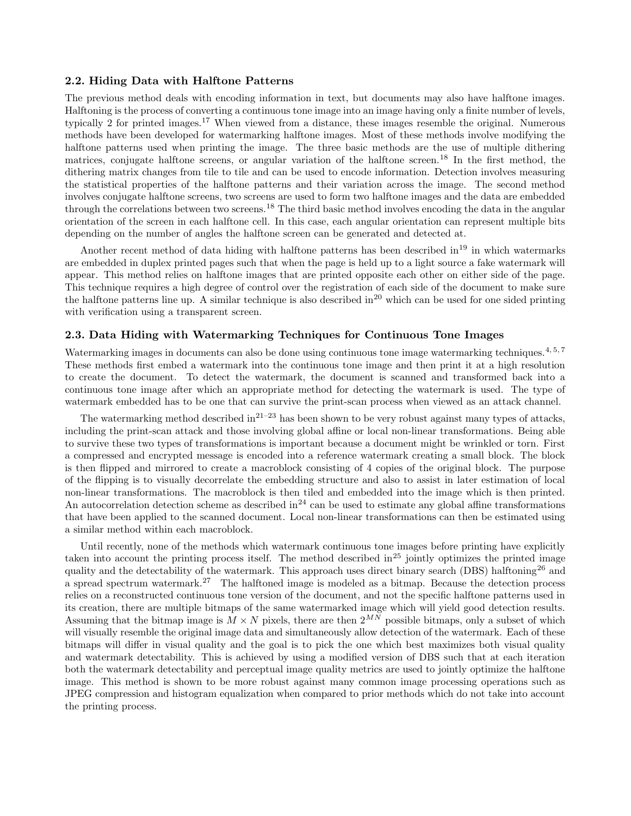#### 2.2. Hiding Data with Halftone Patterns

The previous method deals with encoding information in text, but documents may also have halftone images. Halftoning is the process of converting a continuous tone image into an image having only a finite number of levels, typically 2 for printed images.<sup>17</sup> When viewed from a distance, these images resemble the original. Numerous methods have been developed for watermarking halftone images. Most of these methods involve modifying the halftone patterns used when printing the image. The three basic methods are the use of multiple dithering matrices, conjugate halftone screens, or angular variation of the halftone screen.<sup>18</sup> In the first method, the dithering matrix changes from tile to tile and can be used to encode information. Detection involves measuring the statistical properties of the halftone patterns and their variation across the image. The second method involves conjugate halftone screens, two screens are used to form two halftone images and the data are embedded through the correlations between two screens.<sup>18</sup> The third basic method involves encoding the data in the angular orientation of the screen in each halftone cell. In this case, each angular orientation can represent multiple bits depending on the number of angles the halftone screen can be generated and detected at.

Another recent method of data hiding with halftone patterns has been described in<sup>19</sup> in which watermarks are embedded in duplex printed pages such that when the page is held up to a light source a fake watermark will appear. This method relies on halftone images that are printed opposite each other on either side of the page. This technique requires a high degree of control over the registration of each side of the document to make sure the halftone patterns line up. A similar technique is also described in $^{20}$  which can be used for one sided printing with verification using a transparent screen.

## 2.3. Data Hiding with Watermarking Techniques for Continuous Tone Images

Watermarking images in documents can also be done using continuous tone image watermarking techniques.  $4,5,7$ These methods first embed a watermark into the continuous tone image and then print it at a high resolution to create the document. To detect the watermark, the document is scanned and transformed back into a continuous tone image after which an appropriate method for detecting the watermark is used. The type of watermark embedded has to be one that can survive the print-scan process when viewed as an attack channel.

The watermarking method described in  $2^{1-23}$  has been shown to be very robust against many types of attacks, including the print-scan attack and those involving global affine or local non-linear transformations. Being able to survive these two types of transformations is important because a document might be wrinkled or torn. First a compressed and encrypted message is encoded into a reference watermark creating a small block. The block is then flipped and mirrored to create a macroblock consisting of 4 copies of the original block. The purpose of the flipping is to visually decorrelate the embedding structure and also to assist in later estimation of local non-linear transformations. The macroblock is then tiled and embedded into the image which is then printed. An autocorrelation detection scheme as described in<sup>24</sup> can be used to estimate any global affine transformations that have been applied to the scanned document. Local non-linear transformations can then be estimated using a similar method within each macroblock.

Until recently, none of the methods which watermark continuous tone images before printing have explicitly taken into account the printing process itself. The method described in<sup>25</sup> jointly optimizes the printed image quality and the detectability of the watermark. This approach uses direct binary search (DBS) halftoning<sup>26</sup> and a spread spectrum watermark.<sup>27</sup> The halftoned image is modeled as a bitmap. Because the detection process relies on a reconstructed continuous tone version of the document, and not the specific halftone patterns used in its creation, there are multiple bitmaps of the same watermarked image which will yield good detection results. Assuming that the bitmap image is  $M \times N$  pixels, there are then  $2^{M N}$  possible bitmaps, only a subset of which will visually resemble the original image data and simultaneously allow detection of the watermark. Each of these bitmaps will differ in visual quality and the goal is to pick the one which best maximizes both visual quality and watermark detectability. This is achieved by using a modified version of DBS such that at each iteration both the watermark detectability and perceptual image quality metrics are used to jointly optimize the halftone image. This method is shown to be more robust against many common image processing operations such as JPEG compression and histogram equalization when compared to prior methods which do not take into account the printing process.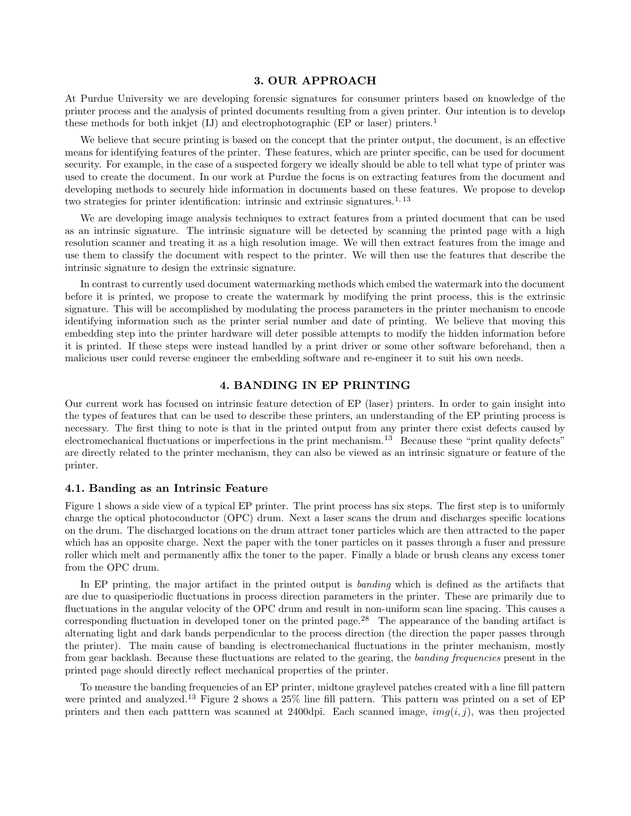## 3. OUR APPROACH

At Purdue University we are developing forensic signatures for consumer printers based on knowledge of the printer process and the analysis of printed documents resulting from a given printer. Our intention is to develop these methods for both inkjet (IJ) and electrophotographic (EP or laser) printers.<sup>1</sup>

We believe that secure printing is based on the concept that the printer output, the document, is an effective means for identifying features of the printer. These features, which are printer specific, can be used for document security. For example, in the case of a suspected forgery we ideally should be able to tell what type of printer was used to create the document. In our work at Purdue the focus is on extracting features from the document and developing methods to securely hide information in documents based on these features. We propose to develop two strategies for printer identification: intrinsic and extrinsic signatures.<sup>1, 13</sup>

We are developing image analysis techniques to extract features from a printed document that can be used as an intrinsic signature. The intrinsic signature will be detected by scanning the printed page with a high resolution scanner and treating it as a high resolution image. We will then extract features from the image and use them to classify the document with respect to the printer. We will then use the features that describe the intrinsic signature to design the extrinsic signature.

In contrast to currently used document watermarking methods which embed the watermark into the document before it is printed, we propose to create the watermark by modifying the print process, this is the extrinsic signature. This will be accomplished by modulating the process parameters in the printer mechanism to encode identifying information such as the printer serial number and date of printing. We believe that moving this embedding step into the printer hardware will deter possible attempts to modify the hidden information before it is printed. If these steps were instead handled by a print driver or some other software beforehand, then a malicious user could reverse engineer the embedding software and re-engineer it to suit his own needs.

## 4. BANDING IN EP PRINTING

Our current work has focused on intrinsic feature detection of EP (laser) printers. In order to gain insight into the types of features that can be used to describe these printers, an understanding of the EP printing process is necessary. The first thing to note is that in the printed output from any printer there exist defects caused by electromechanical fluctuations or imperfections in the print mechanism.<sup>13</sup> Because these "print quality defects" are directly related to the printer mechanism, they can also be viewed as an intrinsic signature or feature of the printer.

#### 4.1. Banding as an Intrinsic Feature

Figure 1 shows a side view of a typical EP printer. The print process has six steps. The first step is to uniformly charge the optical photoconductor (OPC) drum. Next a laser scans the drum and discharges specific locations on the drum. The discharged locations on the drum attract toner particles which are then attracted to the paper which has an opposite charge. Next the paper with the toner particles on it passes through a fuser and pressure roller which melt and permanently affix the toner to the paper. Finally a blade or brush cleans any excess toner from the OPC drum.

In EP printing, the major artifact in the printed output is banding which is defined as the artifacts that are due to quasiperiodic fluctuations in process direction parameters in the printer. These are primarily due to fluctuations in the angular velocity of the OPC drum and result in non-uniform scan line spacing. This causes a corresponding fluctuation in developed toner on the printed page.<sup>28</sup> The appearance of the banding artifact is alternating light and dark bands perpendicular to the process direction (the direction the paper passes through the printer). The main cause of banding is electromechanical fluctuations in the printer mechanism, mostly from gear backlash. Because these fluctuations are related to the gearing, the banding frequencies present in the printed page should directly reflect mechanical properties of the printer.

To measure the banding frequencies of an EP printer, midtone graylevel patches created with a line fill pattern were printed and analyzed.<sup>13</sup> Figure 2 shows a 25% line fill pattern. This pattern was printed on a set of EP printers and then each patttern was scanned at 2400dpi. Each scanned image,  $img(i, j)$ , was then projected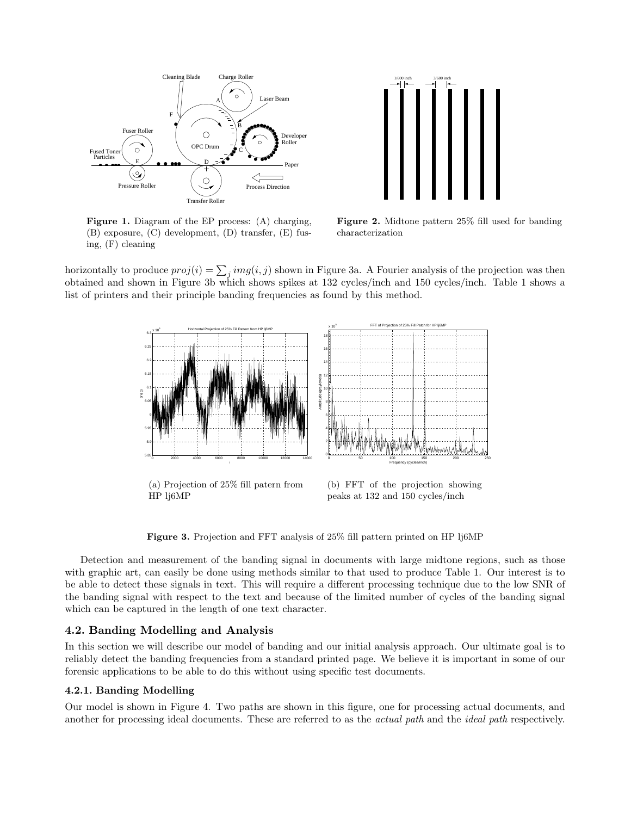

Figure 1. Diagram of the EP process: (A) charging, (B) exposure, (C) development, (D) transfer, (E) fusing, (F) cleaning



Figure 2. Midtone pattern 25% fill used for banding characterization

horizontally to produce  $proj(i) = \sum_j img(i, j)$  shown in Figure 3a. A Fourier analysis of the projection was then obtained and shown in Figure 3b which shows spikes at 132 cycles/inch and 150 cycles/inch. Table 1 shows a list of printers and their principle banding frequencies as found by this method.



Figure 3. Projection and FFT analysis of 25% fill pattern printed on HP lj6MP

Detection and measurement of the banding signal in documents with large midtone regions, such as those with graphic art, can easily be done using methods similar to that used to produce Table 1. Our interest is to be able to detect these signals in text. This will require a different processing technique due to the low SNR of the banding signal with respect to the text and because of the limited number of cycles of the banding signal which can be captured in the length of one text character.

## 4.2. Banding Modelling and Analysis

In this section we will describe our model of banding and our initial analysis approach. Our ultimate goal is to reliably detect the banding frequencies from a standard printed page. We believe it is important in some of our forensic applications to be able to do this without using specific test documents.

## 4.2.1. Banding Modelling

Our model is shown in Figure 4. Two paths are shown in this figure, one for processing actual documents, and another for processing ideal documents. These are referred to as the *actual path* and the *ideal path* respectively.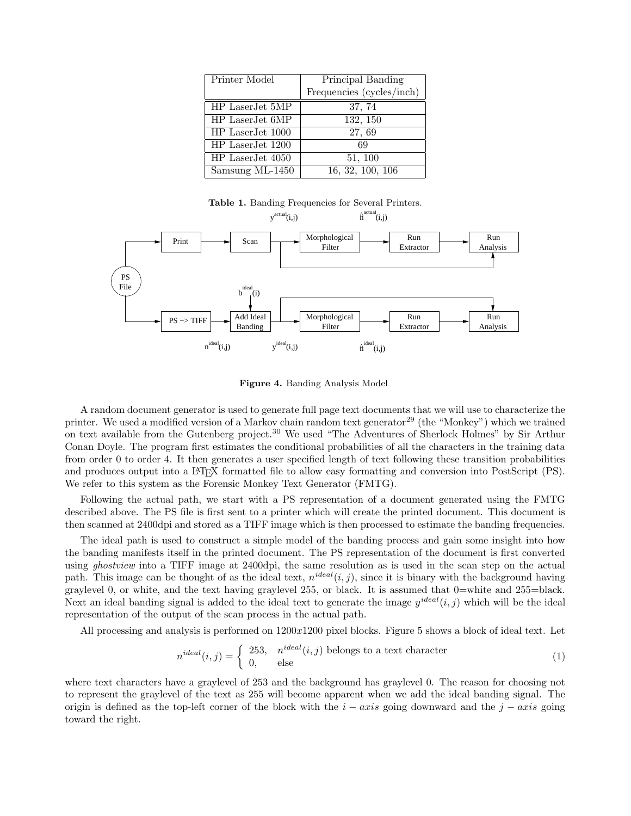| Printer Model    | Principal Banding         |
|------------------|---------------------------|
|                  | Frequencies (cycles/inch) |
| HP LaserJet 5MP  | 37, 74                    |
| HP LaserJet 6MP  | 132, 150                  |
| HP LaserJet 1000 | 27, 69                    |
| HP LaserJet 1200 | 69                        |
| HP LaserJet 4050 | 51, 100                   |
| Samsung ML-1450  | 16, 32, 100, 106          |

Table 1. Banding Frequencies for Several Printers.



Figure 4. Banding Analysis Model

A random document generator is used to generate full page text documents that we will use to characterize the printer. We used a modified version of a Markov chain random text generator<sup>29</sup> (the "Monkey") which we trained on text available from the Gutenberg project.<sup>30</sup> We used "The Adventures of Sherlock Holmes" by Sir Arthur Conan Doyle. The program first estimates the conditional probabilities of all the characters in the training data from order 0 to order 4. It then generates a user specified length of text following these transition probabilities and produces output into a LATEX formatted file to allow easy formatting and conversion into PostScript (PS). We refer to this system as the Forensic Monkey Text Generator (FMTG).

Following the actual path, we start with a PS representation of a document generated using the FMTG described above. The PS file is first sent to a printer which will create the printed document. This document is then scanned at 2400dpi and stored as a TIFF image which is then processed to estimate the banding frequencies.

The ideal path is used to construct a simple model of the banding process and gain some insight into how the banding manifests itself in the printed document. The PS representation of the document is first converted using *ghostview* into a TIFF image at 2400dpi, the same resolution as is used in the scan step on the actual path. This image can be thought of as the ideal text,  $n^{ideal}(i, j)$ , since it is binary with the background having graylevel 0, or white, and the text having graylevel 255, or black. It is assumed that 0=white and 255=black. Next an ideal banding signal is added to the ideal text to generate the image  $y^{ideal}(i, j)$  which will be the ideal representation of the output of the scan process in the actual path.

All processing and analysis is performed on  $1200x1200$  pixel blocks. Figure 5 shows a block of ideal text. Let

$$
n^{ideal}(i,j) = \begin{cases} 253, & n^{ideal}(i,j) \text{ belongs to a text character} \\ 0, & \text{else} \end{cases}
$$
 (1)

where text characters have a graylevel of 253 and the background has graylevel 0. The reason for choosing not to represent the graylevel of the text as 255 will become apparent when we add the ideal banding signal. The origin is defined as the top-left corner of the block with the  $i - axis$  going downward and the  $j - axis$  going toward the right.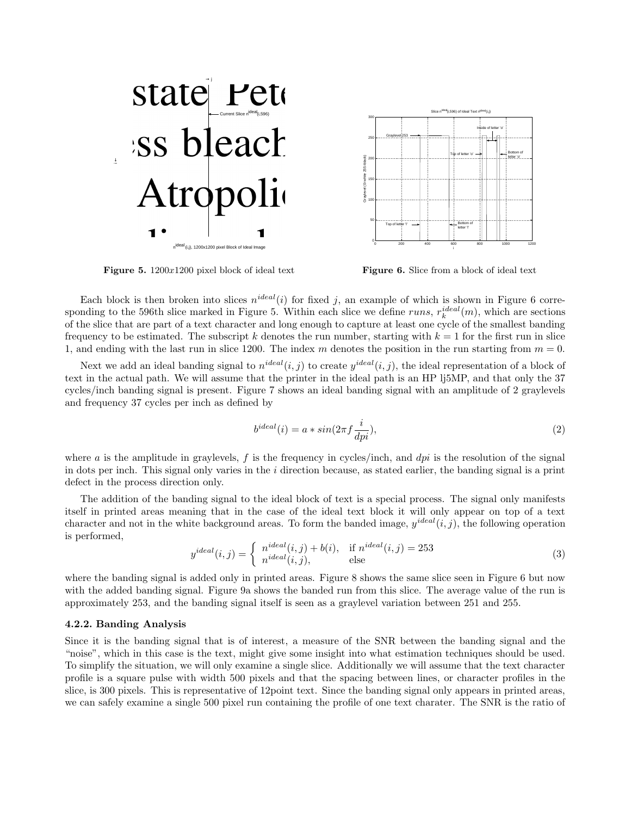



Figure 5.  $1200x1200$  pixel block of ideal text

Figure 6. Slice from a block of ideal text

Each block is then broken into slices  $n^{ideal}(i)$  for fixed j, an example of which is shown in Figure 6 corresponding to the 596th slice marked in Figure 5. Within each slice we define runs,  $r_k^{ideal}(m)$ , which are sections of the slice that are part of a text character and long enough to capture at least one cycle of the smallest banding frequency to be estimated. The subscript k denotes the run number, starting with  $k = 1$  for the first run in slice 1, and ending with the last run in slice 1200. The index m denotes the position in the run starting from  $m = 0$ .

Next we add an ideal banding signal to  $n^{ideal}(i, j)$  to create  $y^{ideal}(i, j)$ , the ideal representation of a block of text in the actual path. We will assume that the printer in the ideal path is an HP lj5MP, and that only the 37 cycles/inch banding signal is present. Figure 7 shows an ideal banding signal with an amplitude of 2 graylevels and frequency 37 cycles per inch as defined by

$$
b^{ideal}(i) = a * sin(2\pi f \frac{i}{dpi}),
$$
\n(2)

where a is the amplitude in graylevels, f is the frequency in cycles/inch, and  $dpi$  is the resolution of the signal in dots per inch. This signal only varies in the  $i$  direction because, as stated earlier, the banding signal is a print defect in the process direction only.

The addition of the banding signal to the ideal block of text is a special process. The signal only manifests itself in printed areas meaning that in the case of the ideal text block it will only appear on top of a text character and not in the white background areas. To form the banded image,  $y^{ideal}(i, j)$ , the following operation is performed,

$$
y^{ideal}(i,j) = \begin{cases} n^{ideal}(i,j) + b(i), & \text{if } n^{ideal}(i,j) = 253\\ n^{ideal}(i,j), & \text{else} \end{cases}
$$
(3)

where the banding signal is added only in printed areas. Figure 8 shows the same slice seen in Figure 6 but now with the added banding signal. Figure 9a shows the banded run from this slice. The average value of the run is approximately 253, and the banding signal itself is seen as a graylevel variation between 251 and 255.

#### 4.2.2. Banding Analysis

Since it is the banding signal that is of interest, a measure of the SNR between the banding signal and the "noise", which in this case is the text, might give some insight into what estimation techniques should be used. To simplify the situation, we will only examine a single slice. Additionally we will assume that the text character profile is a square pulse with width 500 pixels and that the spacing between lines, or character profiles in the slice, is 300 pixels. This is representative of 12point text. Since the banding signal only appears in printed areas, we can safely examine a single 500 pixel run containing the profile of one text charater. The SNR is the ratio of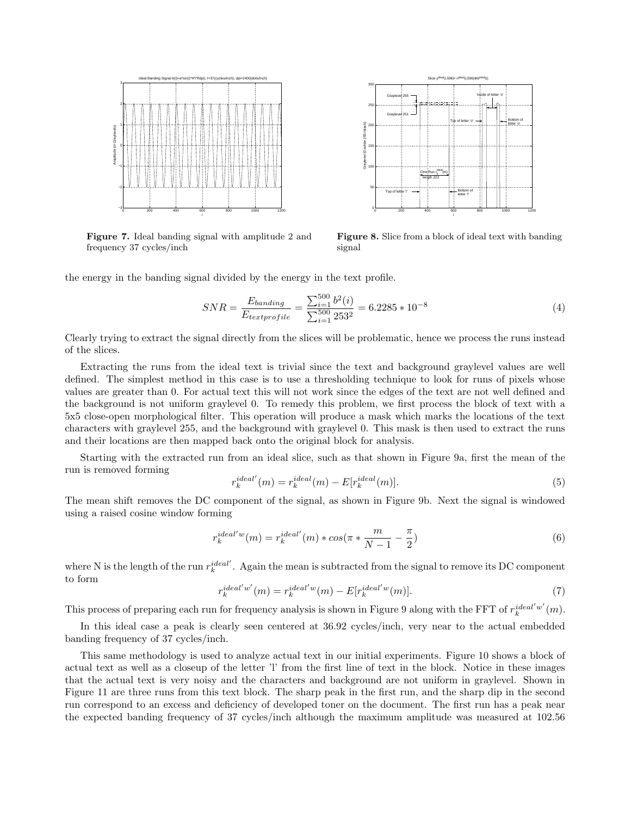

Figure 7. Ideal banding signal with amplitude 2 and frequency 37 cycles/inch



Figure 8. Slice from a block of ideal text with banding signal

the energy in the banding signal divided by the energy in the text profile.

$$
SNR = \frac{E_{banding}}{E_{textprofile}} = \frac{\sum_{i=1}^{500} b^2(i)}{\sum_{i=1}^{500} 253^2} = 6.2285 \times 10^{-8}
$$
 (4)

Clearly trying to extract the signal directly from the slices will be problematic, hence we process the runs instead of the slices.

Extracting the runs from the ideal text is trivial since the text and background graylevel values are well defined. The simplest method in this case is to use a thresholding technique to look for runs of pixels whose values are greater than 0. For actual text this will not work since the edges of the text are not well defined and the background is not uniform graylevel 0. To remedy this problem, we first process the block of text with a 5x5 close-open morphological filter. This operation will produce a mask which marks the locations of the text characters with graylevel 255, and the background with graylevel 0. This mask is then used to extract the runs and their locations are then mapped back onto the original block for analysis.

Starting with the extracted run from an ideal slice, such as that shown in Figure 9a, first the mean of the run is removed forming

$$
r_k^{ideal'}(m) = r_k^{ideal}(m) - E[r_k^{ideal}(m)].
$$
\n(5)

The mean shift removes the DC component of the signal, as shown in Figure 9b. Next the signal is windowed using a raised cosine window forming

$$
r_k^{ideal'w}(m) = r_k^{ideal'}(m) * cos(\pi * \frac{m}{N-1} - \frac{\pi}{2})
$$
\n(6)

where N is the length of the run  $r_k^{ideal'}$ . Again the mean is subtracted from the signal to remove its DC component to form

$$
r_k^{ideal'w'}(m) = r_k^{ideal'w}(m) - E[r_k^{ideal'w}(m)].
$$
\n
$$
(7)
$$

This process of preparing each run for frequency analysis is shown in Figure 9 along with the FFT of  $r_k^{ideal'w'}$  $_{k}^{ideal'w'}(m).$ 

In this ideal case a peak is clearly seen centered at 36.92 cycles/inch, very near to the actual embedded banding frequency of 37 cycles/inch.

This same methodology is used to analyze actual text in our initial experiments. Figure 10 shows a block of actual text as well as a closeup of the letter 'l' from the first line of text in the block. Notice in these images that the actual text is very noisy and the characters and background are not uniform in graylevel. Shown in Figure 11 are three runs from this text block. The sharp peak in the first run, and the sharp dip in the second run correspond to an excess and deficiency of developed toner on the document. The first run has a peak near the expected banding frequency of 37 cycles/inch although the maximum amplitude was measured at 102.56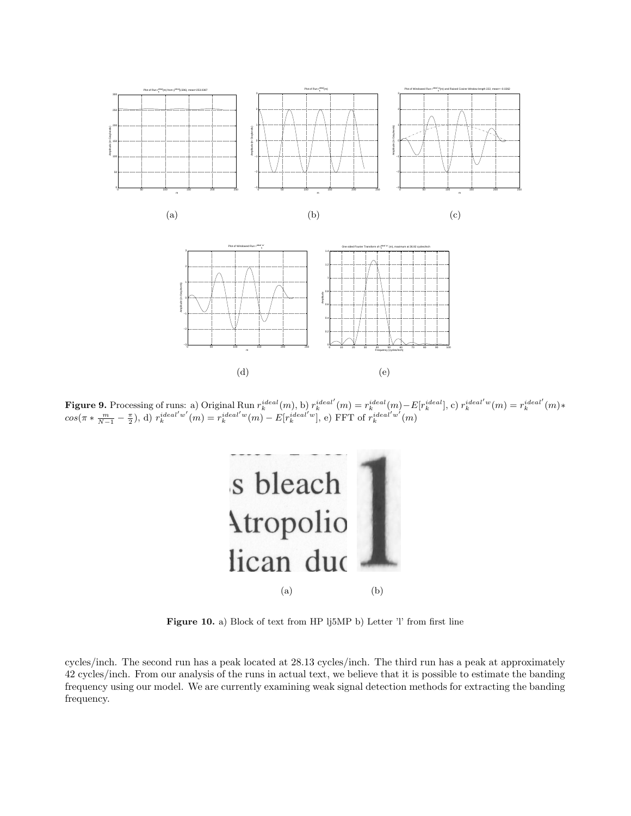



**Figure 9.** Processing of runs: a) Original Run  $r_k^{ideal}(m)$ , b)  $r_k^{ideal'}(m) = r_k^{ideal}(m) - E[r_k^{ideal}], c)$   $r_k^{ideal'}(m) = r_k^{ideal'}(m) *$  $cos(\pi * \frac{m}{N-1} - \frac{\pi}{2}),$  d)  $r_k^{ideal'w'}(m) = r_k^{ideal'w}(m) - E[r_k^{ideal'w'}],$  e) FFT of  $r_k^{ideal'w'}(m)$ 



Figure 10. a) Block of text from HP lj5MP b) Letter 'l' from first line

cycles/inch. The second run has a peak located at 28.13 cycles/inch. The third run has a peak at approximately 42 cycles/inch. From our analysis of the runs in actual text, we believe that it is possible to estimate the banding frequency using our model. We are currently examining weak signal detection methods for extracting the banding frequency.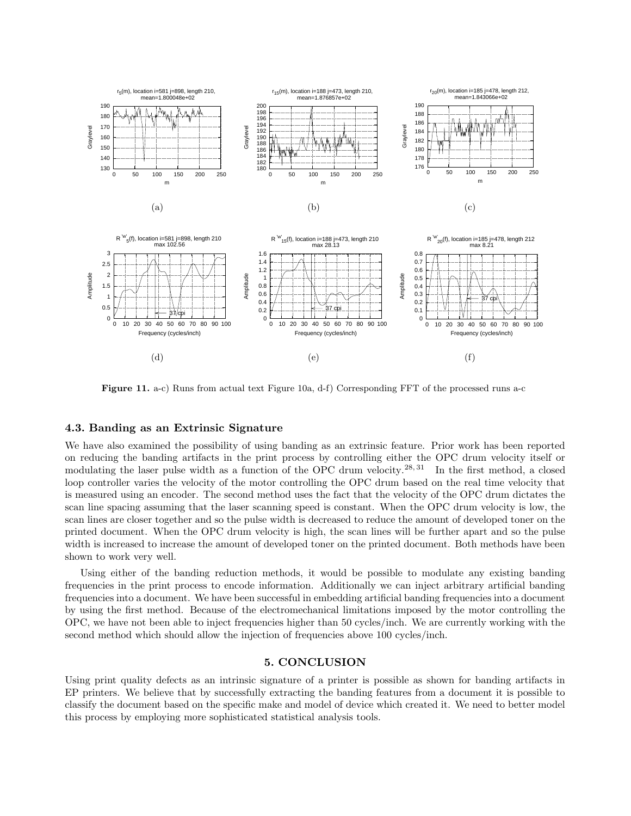

Figure 11. a-c) Runs from actual text Figure 10a, d-f) Corresponding FFT of the processed runs a-c

#### 4.3. Banding as an Extrinsic Signature

We have also examined the possibility of using banding as an extrinsic feature. Prior work has been reported on reducing the banding artifacts in the print process by controlling either the OPC drum velocity itself or modulating the laser pulse width as a function of the OPC drum velocity.<sup>28, 31</sup> In the first method, a closed loop controller varies the velocity of the motor controlling the OPC drum based on the real time velocity that is measured using an encoder. The second method uses the fact that the velocity of the OPC drum dictates the scan line spacing assuming that the laser scanning speed is constant. When the OPC drum velocity is low, the scan lines are closer together and so the pulse width is decreased to reduce the amount of developed toner on the printed document. When the OPC drum velocity is high, the scan lines will be further apart and so the pulse width is increased to increase the amount of developed toner on the printed document. Both methods have been shown to work very well.

Using either of the banding reduction methods, it would be possible to modulate any existing banding frequencies in the print process to encode information. Additionally we can inject arbitrary artificial banding frequencies into a document. We have been successful in embedding artificial banding frequencies into a document by using the first method. Because of the electromechanical limitations imposed by the motor controlling the OPC, we have not been able to inject frequencies higher than 50 cycles/inch. We are currently working with the second method which should allow the injection of frequencies above 100 cycles/inch.

## 5. CONCLUSION

Using print quality defects as an intrinsic signature of a printer is possible as shown for banding artifacts in EP printers. We believe that by successfully extracting the banding features from a document it is possible to classify the document based on the specific make and model of device which created it. We need to better model this process by employing more sophisticated statistical analysis tools.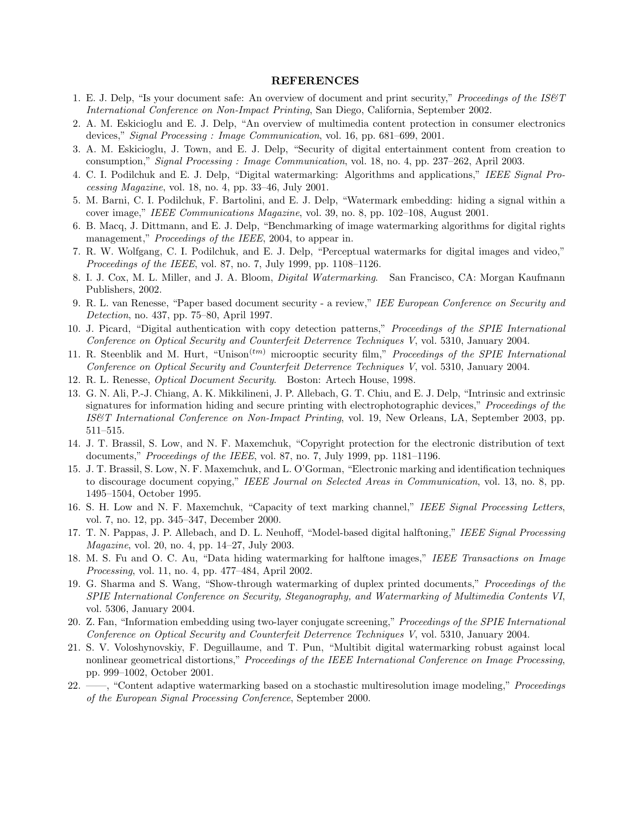## REFERENCES

- 1. E. J. Delp, "Is your document safe: An overview of document and print security," *Proceedings of the IS&T* International Conference on Non-Impact Printing, San Diego, California, September 2002.
- 2. A. M. Eskicioglu and E. J. Delp, "An overview of multimedia content protection in consumer electronics devices," Signal Processing : Image Communication, vol. 16, pp. 681–699, 2001.
- 3. A. M. Eskicioglu, J. Town, and E. J. Delp, "Security of digital entertainment content from creation to consumption," Signal Processing : Image Communication, vol. 18, no. 4, pp. 237–262, April 2003.
- 4. C. I. Podilchuk and E. J. Delp, "Digital watermarking: Algorithms and applications," IEEE Signal Processing Magazine, vol. 18, no. 4, pp. 33–46, July 2001.
- 5. M. Barni, C. I. Podilchuk, F. Bartolini, and E. J. Delp, "Watermark embedding: hiding a signal within a cover image," IEEE Communications Magazine, vol. 39, no. 8, pp. 102–108, August 2001.
- 6. B. Macq, J. Dittmann, and E. J. Delp, "Benchmarking of image watermarking algorithms for digital rights management," *Proceedings of the IEEE*, 2004, to appear in.
- 7. R. W. Wolfgang, C. I. Podilchuk, and E. J. Delp, "Perceptual watermarks for digital images and video," Proceedings of the IEEE, vol. 87, no. 7, July 1999, pp. 1108–1126.
- 8. I. J. Cox, M. L. Miller, and J. A. Bloom, Digital Watermarking. San Francisco, CA: Morgan Kaufmann Publishers, 2002.
- 9. R. L. van Renesse, "Paper based document security a review," IEE European Conference on Security and Detection, no. 437, pp. 75–80, April 1997.
- 10. J. Picard, "Digital authentication with copy detection patterns," Proceedings of the SPIE International Conference on Optical Security and Counterfeit Deterrence Techniques V, vol. 5310, January 2004.
- 11. R. Steenblik and M. Hurt, "Unison<sup> $(tm)$ </sup> microoptic security film," Proceedings of the SPIE International Conference on Optical Security and Counterfeit Deterrence Techniques V, vol. 5310, January 2004.
- 12. R. L. Renesse, Optical Document Security. Boston: Artech House, 1998.
- 13. G. N. Ali, P.-J. Chiang, A. K. Mikkilineni, J. P. Allebach, G. T. Chiu, and E. J. Delp, "Intrinsic and extrinsic signatures for information hiding and secure printing with electrophotographic devices," Proceedings of the IS&T International Conference on Non-Impact Printing, vol. 19, New Orleans, LA, September 2003, pp. 511–515.
- 14. J. T. Brassil, S. Low, and N. F. Maxemchuk, "Copyright protection for the electronic distribution of text documents," *Proceedings of the IEEE*, vol. 87, no. 7, July 1999, pp. 1181–1196.
- 15. J. T. Brassil, S. Low, N. F. Maxemchuk, and L. O'Gorman, "Electronic marking and identification techniques to discourage document copying," IEEE Journal on Selected Areas in Communication, vol. 13, no. 8, pp. 1495–1504, October 1995.
- 16. S. H. Low and N. F. Maxemchuk, "Capacity of text marking channel," IEEE Signal Processing Letters, vol. 7, no. 12, pp. 345–347, December 2000.
- 17. T. N. Pappas, J. P. Allebach, and D. L. Neuhoff, "Model-based digital halftoning," IEEE Signal Processing Magazine, vol. 20, no. 4, pp. 14–27, July 2003.
- 18. M. S. Fu and O. C. Au, "Data hiding watermarking for halftone images," IEEE Transactions on Image Processing, vol. 11, no. 4, pp. 477–484, April 2002.
- 19. G. Sharma and S. Wang, "Show-through watermarking of duplex printed documents," Proceedings of the SPIE International Conference on Security, Steganography, and Watermarking of Multimedia Contents VI, vol. 5306, January 2004.
- 20. Z. Fan, "Information embedding using two-layer conjugate screening," Proceedings of the SPIE International Conference on Optical Security and Counterfeit Deterrence Techniques V, vol. 5310, January 2004.
- 21. S. V. Voloshynovskiy, F. Deguillaume, and T. Pun, "Multibit digital watermarking robust against local nonlinear geometrical distortions," Proceedings of the IEEE International Conference on Image Processing, pp. 999–1002, October 2001.
- 22. ——, "Content adaptive watermarking based on a stochastic multiresolution image modeling," Proceedings of the European Signal Processing Conference, September 2000.